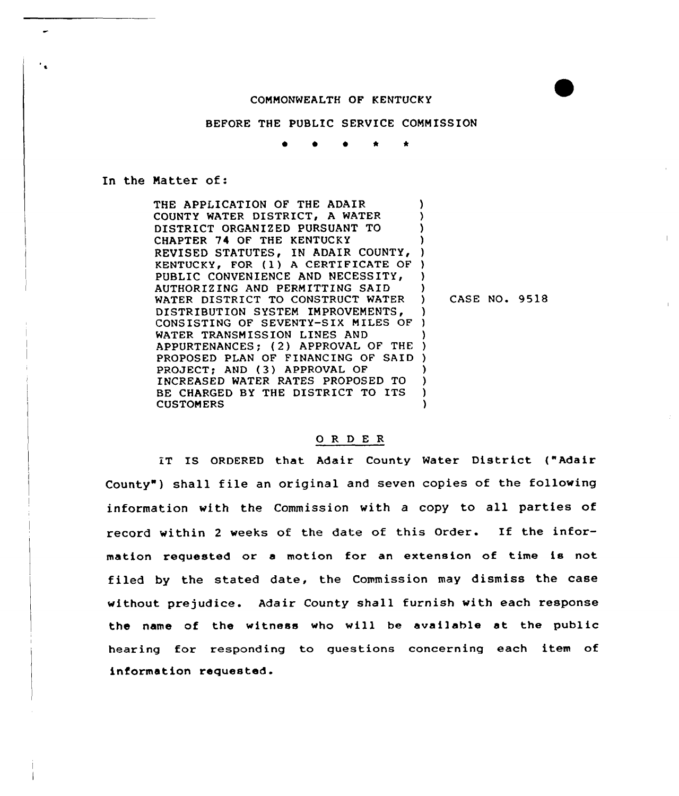## COMMONWEALTH OF KENTUCKY

## BEFORE THE PUBLIC SERVICE COMMISSION

 $\bullet$   $\bullet$   $\bullet$   $\star$   $\star$ 

## In the Matter of:

THE APPLICATION OF THE ADAIR COUNTY WATER DISTRICT, <sup>A</sup> WATER DISTRICT ORGANIZED PURSUANT TO CHAPTER 74 OF THE KENTUCKY REVISED STATUTES, IN ADAIR COUNTY, ) KENTUCKY, FOR (1) A CERTIFICATE OF ) PUBLIC CONVENIENCE AND NECESSITY, AUTHORIZING AND PERMITTING SAID WATER DISTRICT TO CONSTRUCT WATER DISTRIBUTION SYSTEM IMPROVEMENTS, CONSISTING OF SEVENTY-SIX MILES OF WATER TRANSMISSION LINES AND WATER TRANSMISSION LINES AND<br>APPURTENANCES; (2) APPROVAL OF THE ) PROPOSED PLAN OF FINANCING OF SAID ) PROJECT; AND (3) APPROVAL OF INCREASED WATER RATES PROPOSED TO BE CHARGED BY THE DISTRICT TO ITS **CUSTOMERS** ) ) ) ) ) ) ) CASE NO. 9518 ) ) ) ) ) ) )

## 0 <sup>R</sup> <sup>D</sup> E <sup>R</sup>

IT IS ORDERED that Adair County Water District ("Adair County") shall file an original and seven copies of the following information with the Commission with a copy to all parties of record within <sup>2</sup> weeks of the date of this Order. If the information requested or <sup>a</sup> motion for an extension of time is not filed by the stated date, the Commission may dismiss the case without prejudice. Adair County shall furnish with each response the name of the witness who will be available at the public hearing for responding to questions concerning each item of information requested.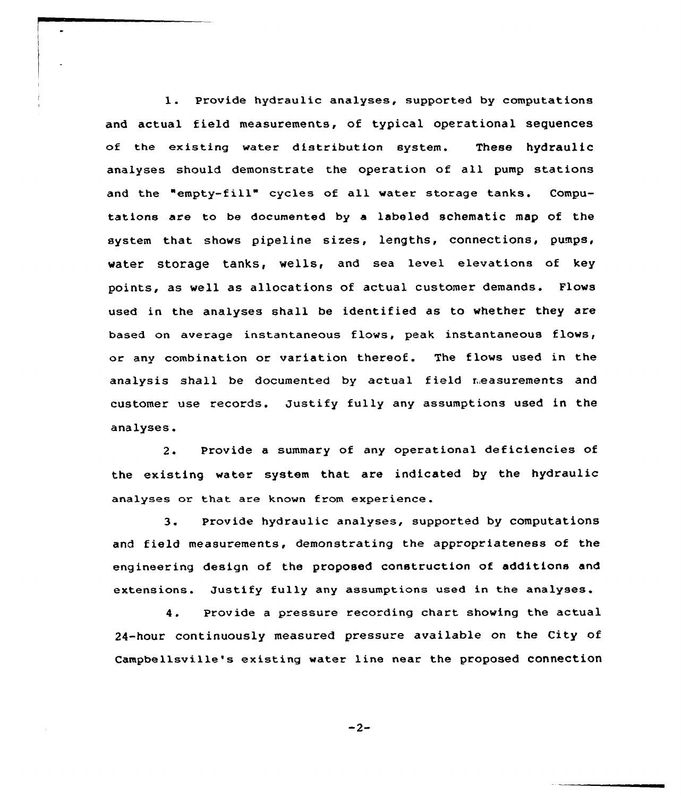1. Provide hydraulic analyses, supported by computations and actual field measurements, of typical operational sequences of the existing water distribution system. These hydraulic analyses should demonstrate the operation of all pump stations and the "empty-fill" cycles of all water storage tanks. Computations are to be documented by a labeled schematic map of the system that shows pipeline sizes, lengths, connections, pumps, water storage tanks, wells, and sea level elevations of key points, as well as allocations of actual customer demands. Flows used in the analyses shall be identified as to whether they are based on average instantaneous flows, peak instantaneous flows, or any combination or variation thereof. The flows used in the analysis shall be documented by actual field measurements and customer use records. Justify fully any assumptions used in the analyses.

2. Provide a summary of any operational deficiencies of the existing water system that are indicated by the hydraulic analyses or that are known from experience.

3. Provide hydraulic analyses, supported by computations and field measurements, demonstrating the appropriateness of the engineering design of the proposed construction of additions and extensions. Justify fully any assumptions used in the analyses.

Provide a pressure recording chart showing the actual  $4.$ 24-hour continuously measured pressure available on the City of Campbellsville's existing water line near the proposed connection

 $-2-$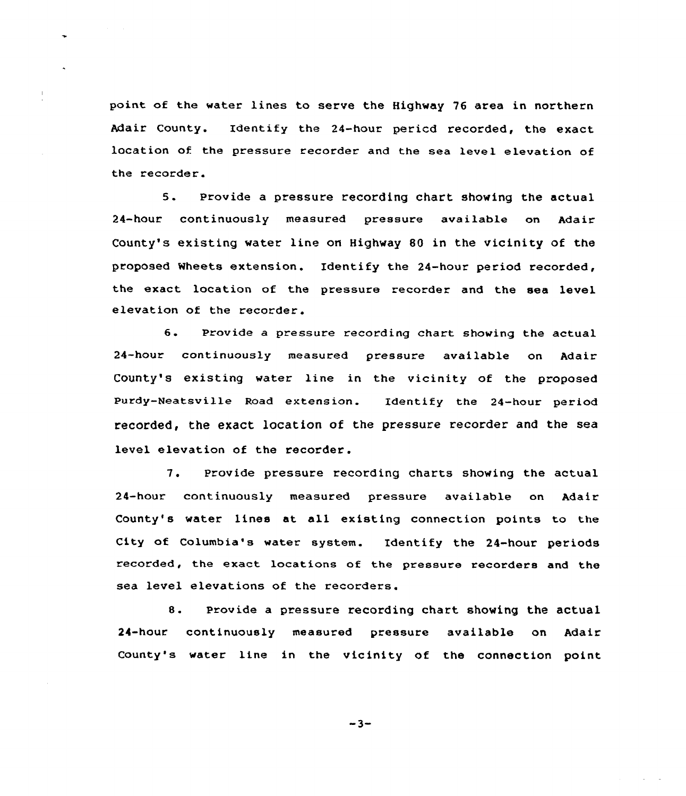point of the water lines to serve the Highway 76 area in northern Adair County. Identify the 24-hour pericd recorded, the exact location of the pressure recorder and the sea level elevation of the recorder.

5. Provide <sup>a</sup> pressure recording chart showing the actual 24-hour continuously measured pressure available on Adair County's existing water line on Highway 80 in the vicinity of the proposed Wheets extension. Identify the 24-hour period recorded, the exact location of the pressure recorder and the sea level elevation of the recorder.

6. Provide <sup>a</sup> pressure recording chart showing the actual 24-hour continuously measured pressure available on Adair County's existing water line in the vicinity of the proposed Purdy-Neatsville Road extension. Identify the 24-hour period recorded, the exact location of the pressure recorder and the sea level elevation of the recorder.

7. Provide pressure recording charts showing the actual 24-hour continuously measured pressure available on Adair County's water lines at all existing connection points to the City of Columbia's water system. Identify the 24-hour periods recorded, the exact locations of the pressure recorders and the sea level elevations of the recorders.

8. provide <sup>a</sup> pressure recording chart showing the actual 24-hour continuously measured pressure available on Adair County's water line in the vicinity of the connection point

 $-3-$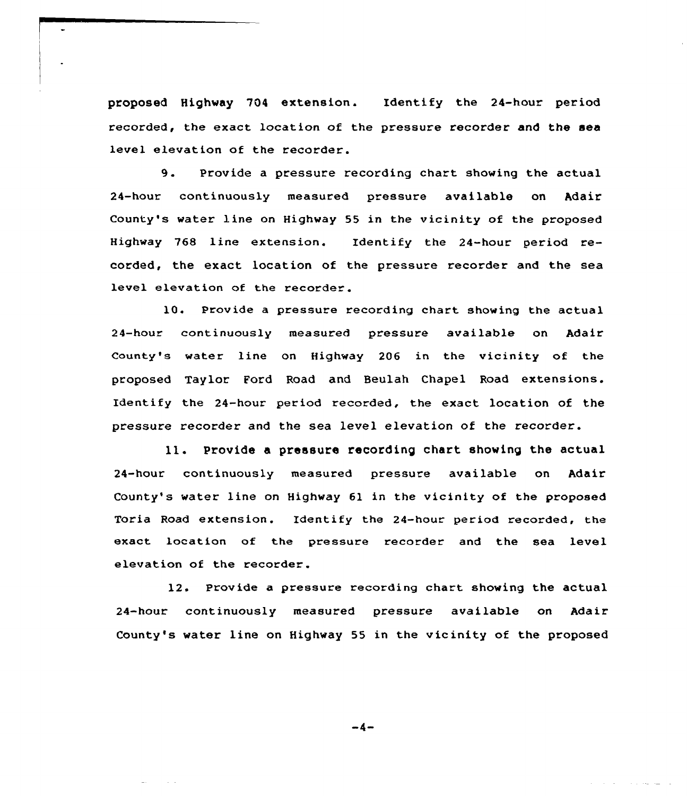proposed Highway 704 extension. Identify the 24-hour period recorded, the exact location of the pressure recorder and the sea level elevation of the recorder.

9. Provide <sup>a</sup> pressure recording chart showing the actual 24-hour continuously measured pressure available on Adair County's water line on Highway 55 in the vicinity of the proposed Highway 768 line extension. Identify the 24-hour period recorded, the exact location of the pressure recorder and the sea level elevat ion of the recorder.

10. Provide a pressure recording chart showing the actual 24-hour continuously measured pressure available on Adair County's water line on Highway 206 in the vicinity of the proposed Taylor Ford Road and Beulah Chapel Road extensions. Identify the 24-hour period recorded, the exact location of the pressure recorder and the sea level elevation of the recorder.

ll. Provide <sup>a</sup> pressure recording chart showing the actual 24-hour continuously measured pressure available on Adair County's water line on Highway 61 in the vicinity of the proposed Toria Road extension. Identify the 24-hour period recorded, the exact location of the pressure recorder and the sea level elevation of the recorder.

12. Provide a pressure recording chart showing the actual 24-hour continuously measured pressure available on Adair County's water line on Highway 55 in the vicinity of the proposed

 $-4-$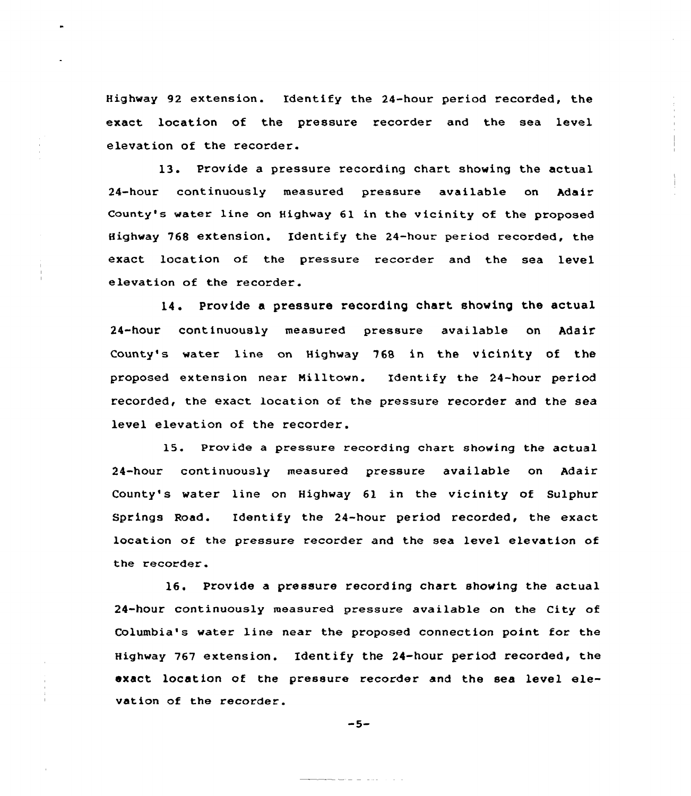Highway 92 extension. Identify the 24-hour period recorded, the exact location of the pressure recorder and the sea level elevation of the recorder.

13. Provide <sup>a</sup> pressure recording chart showing the actual 24-hour continuously measured pressure available on Adair County's water line on Highway 61 in the vicinity of the proposed Highway 768 extension. Identify the 24-hour period recorded, the exact location of the pressure recorder and the sea level elevation of the recorder.

14. Provide a pressure recording chart showing the actual 24-hour continuously measured pressure available on Adair County's water line on Highway 768 in the vicinity of the proposed extension near Milltown. Identify the 24-hour period recorded, the exact location of the pressure recorder and the sea level elevation of the recorder.

15. Provide a pressure recording chart showing the actual 24-hour continuously measured pressure available on Adair County's water line on Highway 61 in the vicinity of Sulphur Springs Road. Identify the 24-hour period recorded, the exact location of the pressure recorder and the sea level elevation of the recorder.

16. Provide a pressure recording chart showing the actual 24-hour continuously measured pressure available on the City of Columbia's water line near the proposed connection point for the Highway 767 extension. Identify the 24-hour period recorded, the exact location of the pressure recorder and the sea level elevation of the recorder.

$$
-5-
$$

 $\begin{aligned} \mathcal{L}_{\text{max}}(\mathcal{L}_{\text{max}}, \mathcal{L}_{\text{max}}) = \mathcal{L}_{\text{max}}(\mathcal{L}_{\text{max}}), \end{aligned}$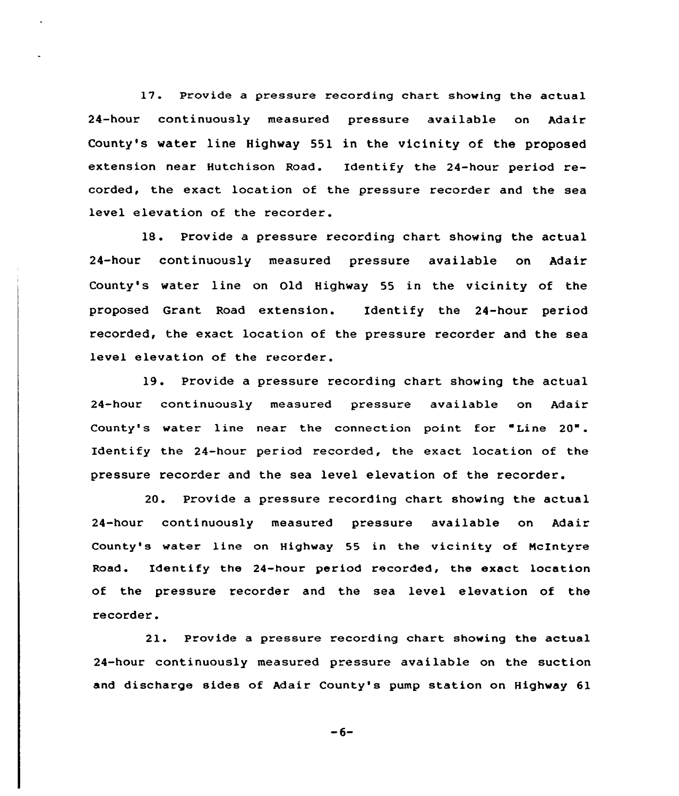17. Provide a pressure recording chart showing the actual 24-hour continuously measured pressure available on Adair County's water line Highway 551 in the vicinity of the proposed extension near Hutchison Road. Identify the 24-hour period recorded, the exact location of the pressure recorder and the sea level elevation of the recorder.

<sup>18</sup> . Provide <sup>a</sup> pressure recording chart showing the actual 24-hour continuously measured pressure available on Adair County's water line on Old Highway 55 in the vicinity of the proposed Grant Road extension. Identify the 24-hour period recorded, the exact location of the pressure recorder and the sea level elevation of the recorder.

19. Provide a pressure recording chart showing the actual 24-hour continuously measured pressure available on Adair County's water line near the connection point for "Line 20". Identify the 24-hour period recorded, the exact location of the pressure recorder and the sea level elevation of the recorder.

20. Provide a pressure recording chart showing the actual 24-hour continuously measured pressure available on Adair County's water line on Highway 55 in the vicinity of NcIntyre Road. Identify the 24-hour period recorded, the exact location of the pressure recorder and the sea level elevation of the recorder.

2l. Provide <sup>a</sup> pressure recording chart showing the actual 24-hour continuously measured pressure available on the suction and discharge sides of Adair County's pump station on Highway 61

 $-6-$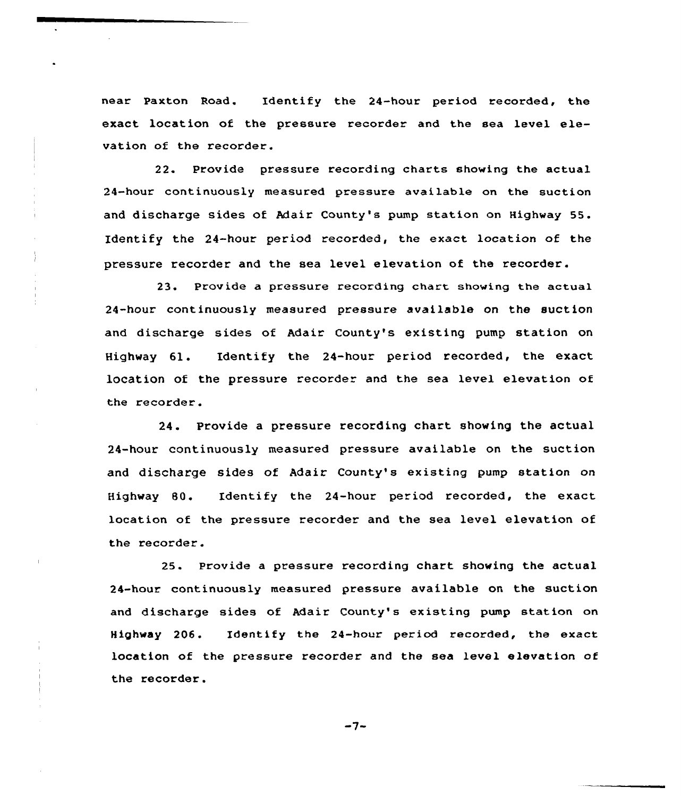near Paxton Road. Identify the 24-hour period recorded, the exact location of the pressure recorder and the sea level elevation of the recorder.

22. Provide pressure recording charts showing the actual 24-hour continuously measured pressure available on the suction and discharge sides of Adair County's pump station on Highway 55. Identify the 24-hour period recorded, the exact location of the pressure recorder and the sea level elevation of the recorder.

23. Provide a pressure recording chart showing the actual 24-hour continuously measured pressure available on the suction and discharge sides of Adair County's existing pump station on Highway 61. Identify the 24-hour period recorded, the exact location of the pressure recorder and the sea level elevation of the recorder.

24. Provide a pressure recording chart showing the actual 24-hour continuously measured pressure available on the suction and discharge sides of Adair County's existing pump station on Highway 80. Identify the 24-hour period recorded, the exact location of the pressure recorder and the sea level elevation of the recorder.

25 <sup>~</sup> Provide a pressure recording chart showing the actual 24-hour continuously measured pressure available on the suction and discharge sides of Adair County's existing pump station on Highway 206. Identify the 24-hour period recorded, the exact location of the pressure recorder and the sea level elevation of the recorder.

 $-7-$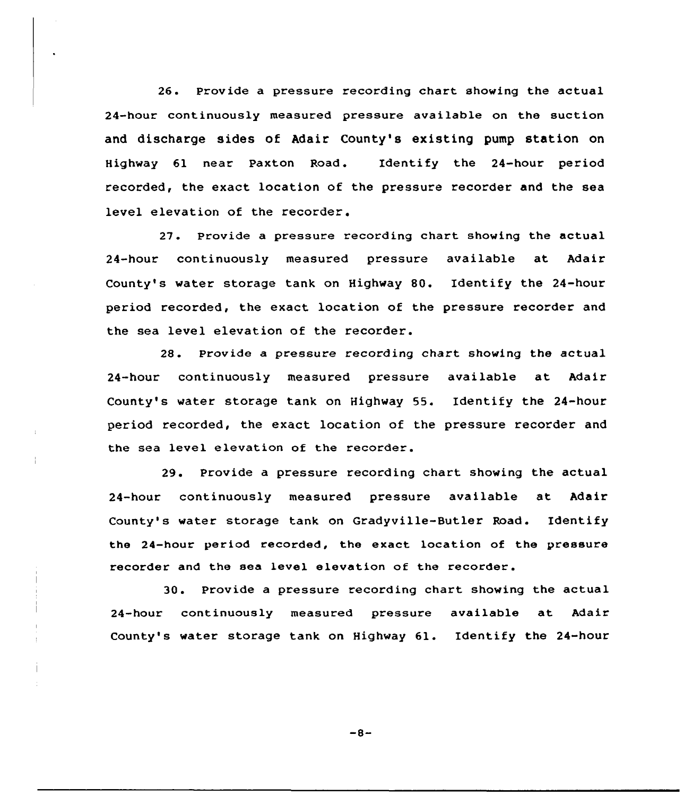26. Provide a pressure recording chart showing the actual 24-hour continuously measured pressure available on the suction and discharge sides of Adair County's existing pump station on Highway 61 near Paxton Road. Identify the 24-hour period recorded, the exact location of the pressure recorder and the sea level elevation of the recorder.

27. Provide a pressure recording chart showing the actual 24-hour continuously measured pressure available at Adair County's water storage tank on Highway 80. Identify the 24-hour period recorded, the exact location of the pressure recorder and the sea level elevation of the recorder.

28. Provide a pressure recording chart showing the actual 24-hour continuously measured pressure available at Adair County's water storage tank on Highway S5. Identify the 24-hour period recorded, the exact location of the pressure recorder and the sea level elevation of the recorder.

29. Provide a pressure recording chart showing the actual 24-hour continuously measured pressure available at Adair County's water storage tank on Gradyville-Butler Road. Identify the 24-hour period recorded, the exact location of the pressure recorder and the sea level elevation of the recorder.

30. Provide a pressure recording chart showing the actual 24-hour continuously measured pressure available at Adair County's water storage tank on Highway 61. Identify the 24-hour

 $-8-$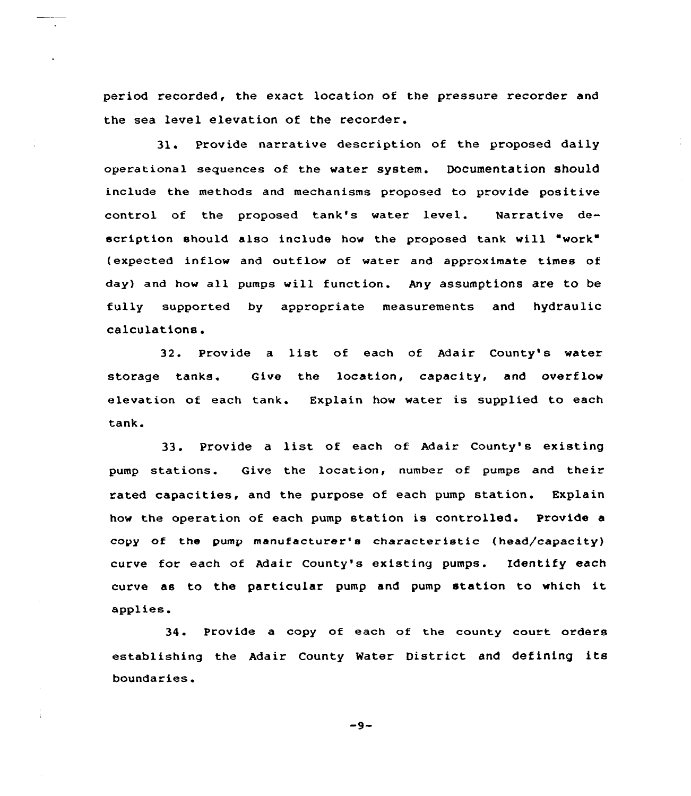period recorded, the exact location of the pressure recorder and the sea level elevation of the recorder.

31. Provide narrative description of the proposed daily operational sequences of the vater system. Documentation should include the methods and mechanisms proposed to provide positive control of the proposed tank's water level. Narrative description should also include how the proposed tank will "work" (expected inflow and outflow of water and approximate times of day) and how all pumps vill function. Any assumptions are to be fully supported by appropriate measurements and hydraulic calculations.

32. Provide <sup>a</sup> list of each of Adair County's water storage tanks. Give the location, capacity, and overflow elevation of each tank. Explain hov vater is supplied to each tank.

33. Provide <sup>a</sup> list of each of Adair County's existing pump stations. Give the location, number of pumps and their rated capacities, and the purpose of each pump station. Explain hov the operation of each pump station is controlled. Provide a copy of the pump manufacturer's characteristic {head/capacity) curve for each of Adair County's existing pumps. Identify each curve as to the particular pump and pump station to which it applies.

34. Provide a copy of each of the county court orders establishing the Adair County Water District and defining its boundaries.

 $-9-$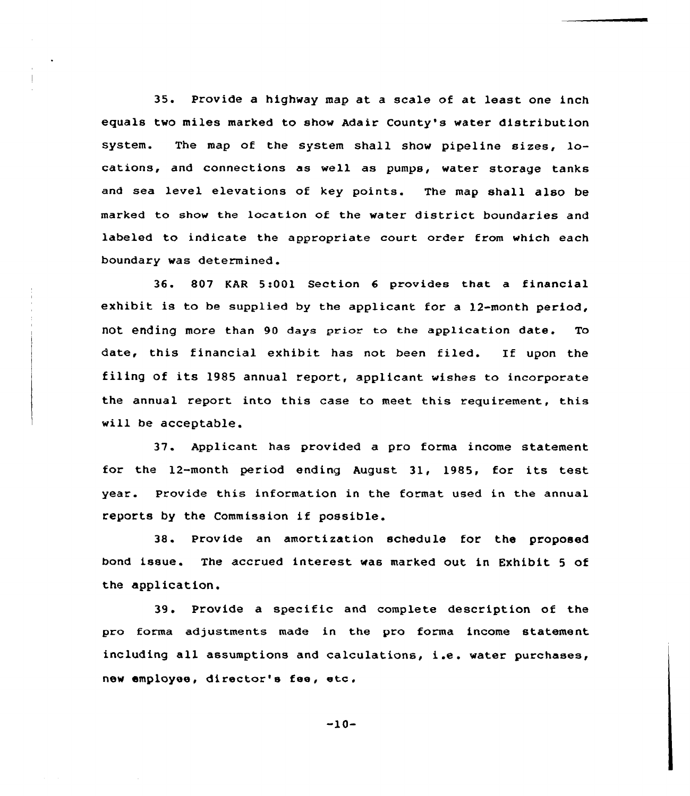35. Provide a highway map at a scale of at least one inch equals two miles marked to show Adair County's water distribution system. The map of the system shall show pipeline sizes, locations, and connections as well as pumps, water storage tanks and sea level elevations of key points. The map shall also be marked to show the location of the water district boundaries and labeled to indicate the appropriate court order from which each boundary was determined .

36. 807 KAR 5:001 Section 6 provides that a financial exhibit is to be supplied by the applicant for a 12-month period, not ending more than 90 days prior to the application date. To date, this financial exhibit has not been filed. If upon the filing of its 1985 annual report, applicant wishes to incorporate the annual report into this case to meet this requirement, this will be acceptable.

37. Applicant has provided a pro forma income statement for the 12-month period ending August 31, 1985, for its test year. Provide this information in the format used in the annual reports by the Commission if possible.

38. Provide an amortization schedule for the proposed bond issue. The accrued interest was marked out in Exhibit <sup>5</sup> of the application.

39. Provide a specific and complete description of the pro forma adjustments made in the pro forma income statement including all assumptions and calculations, i .e . water purchases, new employee, director's fee, etc.

-10-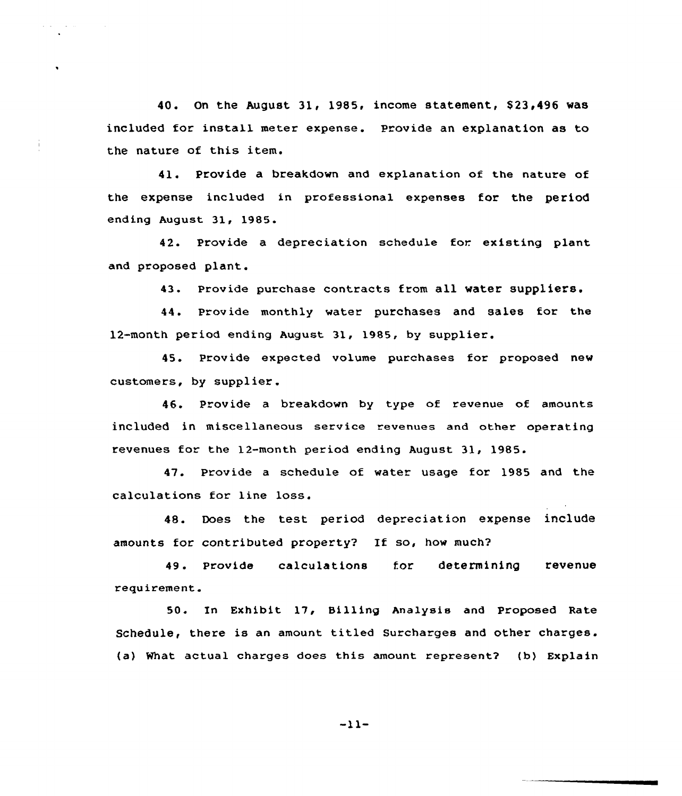40. On the August 31, 1985, income statement, \$23,496 was included for install meter expense. Provide an explanation as to the nature of this item.

41. Provide a breakdown and explanation of the nature of the expense included in professional expenses for the period ending August 31, 1985.

42. Provide a depreciation schedule for existing plant and proposed plant.

43. provide purchase contracts from all water suppliers.

44. provide monthly water purchases and sales for the 12-month period ending August 31, 1985, by supplier.

45. Provide expected volume purchases for proposed new customers, by supplier.

46. Provide a breakdown by type of revenue of amounts included in miscellaneous service revenues and other operating revenues for the 12-month period ending August 31, 1985.

47. Provide a schedule of water usage for 1985 and the calculations for line loss.

48. Does the test period depreciation expense include amounts for contributed property? If so, how much2

49. Provide calculations for determining revenue requirement.

50. In Exhibit 17, Billing Analysis and Proposed Rate Schedule, there is an amount titled Surcharges and other charges. (a) %hat actual charges does this amount represent2 (b) Explain

 $-11-$